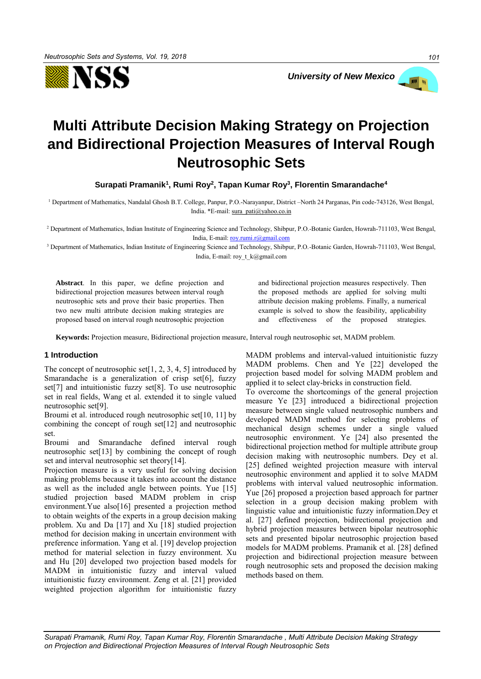



# **Multi Attribute Decision Making Strategy on Projection and Bidirectional Projection Measures of Interval Rough Neutrosophic Sets**

**Surapati Pramanik<sup>1</sup> , Rumi Roy<sup>2</sup> , Tapan Kumar Roy<sup>3</sup> , Florentin Smarandache<sup>4</sup>**

<sup>1</sup> Department of Mathematics, Nandalal Ghosh B.T. College, Panpur, P.O.-Narayanpur, District –North 24 Parganas, Pin code-743126, West Bengal, India. \*E-mail[: sura\\_pati@yahoo.co.in](mailto:sura_pati@yahoo.co.in)

<sup>2</sup> Department of Mathematics, Indian Institute of Engineering Science and Technology, Shibpur, P.O.-Botanic Garden, Howrah-711103, West Bengal, India, E-mail[: roy.rumi.r@gmail.com](mailto:roy.rumi.r@gmail.com)

<sup>3</sup> Department of Mathematics, Indian Institute of Engineering Science and Technology, Shibpur, P.O.-Botanic Garden, Howrah-711103, West Bengal, India, E-mail: roy\_t\_k@gmail.com

**Abstract**. In this paper, we define projection and bidirectional projection measures between interval rough neutrosophic sets and prove their basic properties. Then two new multi attribute decision making strategies are proposed based on interval rough neutrosophic projection and bidirectional projection measures respectively. Then the proposed methods are applied for solving multi attribute decision making problems. Finally, a numerical example is solved to show the feasibility, applicability and effectiveness of the proposed strategies.

**Keywords:** Projection measure, Bidirectional projection measure, Interval rough neutrosophic set, MADM problem.

## **1 Introduction**

The concept of neutrosophic set  $[1, 2, 3, 4, 5]$  introduced by Smarandache is a generalization of crisp set<sup>[6]</sup>, fuzzy set[7] and intuitionistic fuzzy set[8]. To use neutrosophic set in real fields, Wang et al. extended it to single valued neutrosophic set[9].

Broumi et al. introduced rough neutrosophic set[10, 11] by combining the concept of rough set[12] and neutrosophic set.

Broumi and Smarandache defined interval rough neutrosophic set[13] by combining the concept of rough set and interval neutrosophic set theory[14].

Projection measure is a very useful for solving decision making problems because it takes into account the distance as well as the included angle between points. Yue [15] studied projection based MADM problem in crisp environment.Yue also[16] presented a projection method to obtain weights of the experts in a group decision making problem. Xu and Da [17] and Xu [18] studied projection method for decision making in uncertain environment with preference information. Yang et al. [19] develop projection method for material selection in fuzzy environment. Xu and Hu [20] developed two projection based models for MADM in intuitionistic fuzzy and interval valued intuitionistic fuzzy environment. Zeng et al. [21] provided weighted projection algorithm for intuitionistic fuzzy MADM problems and interval-valued intuitionistic fuzzy MADM problems. Chen and Ye [22] developed the projection based model for solving MADM problem and applied it to select clay-bricks in construction field.

To overcome the shortcomings of the general projection measure Ye [23] introduced a bidirectional projection measure between single valued neutrosophic numbers and developed MADM method for selecting problems of mechanical design schemes under a single valued neutrosophic environment. Ye [24] also presented the bidirectional projection method for multiple attribute group decision making with neutrosophic numbers. Dey et al. [25] defined weighted projection measure with interval neutrosophic environment and applied it to solve MADM problems with interval valued neutrosophic information. Yue [26] proposed a projection based approach for partner selection in a group decision making problem with linguistic value and intuitionistic fuzzy information.Dey et al. [27] defined projection, bidirectional projection and hybrid projection measures between bipolar neutrosophic sets and presented bipolar neutrosophic projection based models for MADM problems. Pramanik et al. [28] defined projection and bidirectional projection measure between rough neutrosophic sets and proposed the decision making methods based on them.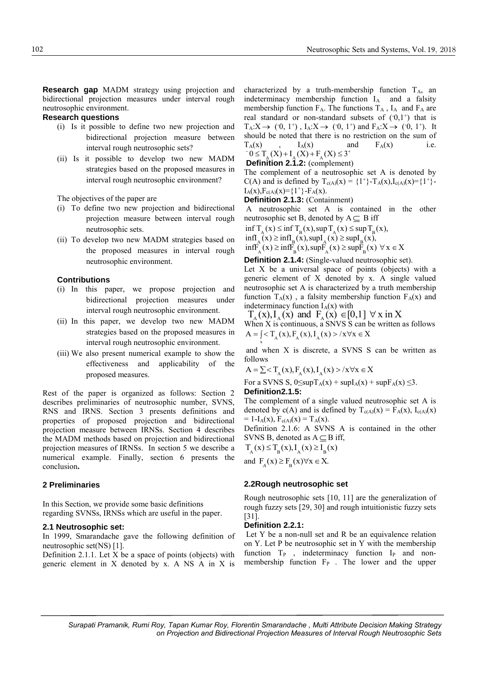**Research gap** MADM strategy using projection and bidirectional projection measures under interval rough neutrosophic environment.

## **Research questions**

- (i) Is it possible to define two new projection and bidirectional projection measure between interval rough neutrosophic sets?
- (ii) Is it possible to develop two new MADM strategies based on the proposed measures in interval rough neutrosophic environment?

The objectives of the paper are

- (i) To define two new projection and bidirectional projection measure between interval rough neutrosophic sets.
- (ii) To develop two new MADM strategies based on the proposed measures in interval rough neutrosophic environment.

## **Contributions**

- (i) In this paper, we propose projection and bidirectional projection measures under interval rough neutrosophic environment.
- (ii) In this paper, we develop two new MADM strategies based on the proposed measures in interval rough neutrosophic environment.
- (iii) We also present numerical example to show the effectiveness and applicability of the proposed measures.

Rest of the paper is organized as follows: Section 2 describes preliminaries of neutrosophic number, SVNS, RNS and IRNS. Section 3 presents definitions and properties of proposed projection and bidirectional projection measure between IRNSs. Section 4 describes the MADM methods based on projection and bidirectional projection measures of IRNSs. In section 5 we describe a numerical example. Finally, section 6 presents the conclusion**.**

## **2 Preliminaries**

In this Section, we provide some basic definitions regarding SVNSs, IRNSs which are useful in the paper.

#### **2.1 Neutrosophic set:**

In 1999, Smarandache gave the following definition of neutrosophic set(NS) [1].

Definition 2.1.1. Let X be a space of points (objects) with generic element in X denoted by x. A NS A in X is characterized by a truth-membership function  $T_A$ , an indeterminacy membership function  $I_A$  and a falsity membership function  $F_A$ . The functions  $T_A$ ,  $I_A$  and  $F_A$  are real standard or non-standard subsets of  $(0,1^+)$  that is  $T_A: X \to (0, 1^+)$ ,  $I_A: X \to (0, 1^+)$  and  $F_A: X \to (0, 1^+)$ . It should be noted that there is no restriction on the sum of  $T_A(x)$  ,  $I_A(x)$  and  $F_A(x)$  i.e.  $I_A(X)$ ,  $I_A(X)$  and<br>  $I_B(X) = I_A(X) + I_A(X) + F_A(X) \le 3^+$ 

**Definition 2.1.2:** (complement)

The complement of a neutrosophic set A is denoted by C(A) and is defined by  $T_{c(A)}(x) = \{1^+\} - T_A(x), I_{c(A)}(x) = \{1^+\} I_A(x), F_{c(A)}(x) = \{1^+\} - F_A(x).$ 

**Definition 2.1.3:** (Containment)

A neutrosophic set A is contained in the other neutrosophic set B, denoted by  $A \subseteq B$  iff hic set B, denoted by  $A \subseteq B$ <br>  $\leq$  inf  $T_B(x)$ , sup  $T_A(x) \leq$  sup T

neutrosophic set B, denoted by  $A \subseteq B$  iff<br>inf  $T_A(x) \le \inf T_B(x)$ , sup  $T_A(x) \le \sup T_B(x)$ ,  $A \setminus \setminus \square$   $B \setminus \setminus \setminus \square$   $A \setminus \setminus \square$   $\square$   $B \setminus \setminus \setminus \square$  $\inf_{A} (\vec{x}) \ge \inf_{B} (\vec{x})$ ,  $\sup_{A} (\vec{x}) \ge \sup_{B} I_{B} (\vec{x})$ ,<br> $\inf_{A} (\vec{x}) \ge \inf_{B} (\vec{x})$ ,  $\sup_{A} (\vec{x}) \ge \sup_{B} I_{B} (\vec{x})$ ,  $\forall x \in X$ inf  $T_A(x) \le \inf T_B(x), \sup T_A(x) \le \sup T_B(x)$ <br>infI<sub>A</sub>(x)  $\ge \inf T_B(x), \sup T_A(x) \ge \sup T_B(x),$  $\inf_{\alpha} (x) \ge \inf_{\alpha} (x)$ , sup $I_{\alpha} (x) \ge \sup_{\alpha} I_{\alpha} (x)$ ,

**Definition 2.1.4:** (Single-valued neutrosophic set).

Let  $X$  be a universal space of points (objects) with a generic element of X denoted by x. A single valued neutrosophic set A is characterized by a truth membership function  $T_A(x)$ , a falsity membership function  $F_A(x)$  and indeterminacy function  $I_A(x)$  with

 $T_{\alpha}(x), I_{\alpha}(x)$  and  $F_{\alpha}(x) \in [0,1]$   $\forall$  x in X When  $\overline{X}$  is continuous, a SNVS  $\overline{S}$  can be written as follows

When X is continuous, a SNVS S can be w<br>A =  $\int_{\mathcal{S}} < T_A(x), F_A(x), I_A(x) > /x \forall x \in X$ x

and when X is discrete, a SVNS S can be written as follows

follows<br>A =  $\sum < T_A(x), F_A(x), I_A(x) > /x \forall x \in X$ 

For a SVNS S,  $0 \leq supT_A(x) + supI_A(x) + supF_A(x) \leq 3$ . **Definition2.1.5:** 

The complement of a single valued neutrosophic set A is denoted by c(A) and is defined by  $T_{c(A)}(x) = F_A(x)$ ,  $I_{c(A)}(x)$  $= 1-I_A(x), F_{c(A)}(x) = T_A(x).$ 

Definition 2.1.6: A SVNS A is contained in the other SVNS B, denoted as  $A \subseteq B$  iff,

 $T_A(x) \le T_B(x), I_A(x) \ge I_B(x)$ and  $F_A(x) \ge F_B(x) \forall x \in X$ .

#### **2.2Rough neutrosophic set**

Rough neutrosophic sets [10, 11] are the generalization of rough fuzzy sets [29, 30] and rough intuitionistic fuzzy sets [31].

## **Definition 2.2.1:**

Let Y be a non-null set and R be an equivalence relation on Y. Let P be neutrosophic set in Y with the membership function  $T_P$ , indeterminacy function  $I_P$  and nonmembership function  $F_P$ . The lower and the upper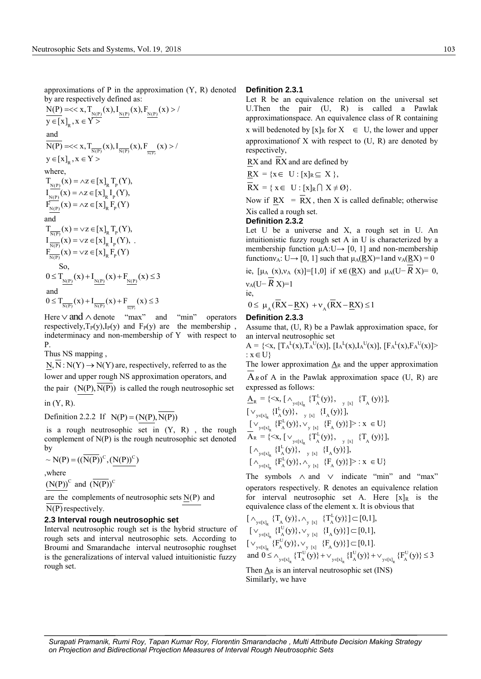approximations of  $P$  in the approximation  $(Y, R)$  denoted

by are respectively defined as:  
\n
$$
\frac{N(P)}{y \in [x]_R, x \in Y>} (x), I_{\frac{N(P)}{N(P)}}(x), F_{\frac{N(P)}{N(P)}}(x) > /
$$

and  
\n
$$
\overline{N(P)} = \langle x, T_{\frac{\overline{N(P)}}{\overline{N(P)}}}(x), I_{\frac{\overline{N(P)}}{\overline{N(P)}}}(x), F_{\frac{\overline{N(P)}}{\overline{N(P)}}}(x) \rangle
$$
\n
$$
y \in [x]_R, x \in Y >
$$
\nwhere,  
\n
$$
T_{\frac{N(P)}{N(P)}}(x) = \wedge z \in [x]_R T_p(Y),
$$
  
\n
$$
I_{\frac{\overline{N(P)}}{N(P)}}(x) = \wedge z \in [x]_R I_p(Y),
$$

$$
F_{\frac{N(P)}{N(P)}}(x) = \lambda z \in [x]_R F_p(Y)
$$
  
and  

$$
T_{\frac{N(P)}{N(P)}}(x) = \nu z \in [x]_R T_p(Y),
$$
  

$$
I_{\frac{N(P)}{N(P)}}(x) = \nu z \in [x]_R I_p(Y),
$$
  
So,  

$$
0 \le T_{\frac{N(P)}{N(P)}}(x) + I_{\frac{N(P)}{N(P)}}(x) + F_{\frac{N(P)}{N(P)}}(x) \le 3
$$
  
and  

$$
0 \le T_{\frac{N(P)}{N(P)}}(x) + I_{\frac{N(P)}{N(P)}}(x) + F_{\frac{N(P)}{N(P)}}(x) \le 3
$$

Here  $\vee$  and  $\wedge$  denote "max" and "min" operators respectively,  $T_P(y)$ ,  $I_P(y)$  and  $F_P(y)$  are the membership, indeterminacy and non-membership of Y with respect to P.

Thus NS mapping ,

 $N, \overline{N}: N(Y) \to N(Y)$  are, respectively, referred to as the lower and upper rough NS approximation operators, and the pair  $(N(P), N(P))$  is called the rough neutrosophic set

in (Y, R).

Definition 2.2.2 If  $N(P) = (N(P), \overline{N(P)})$ 

is a rough neutrosophic set in  $(Y, R)$ , the rough complement of N(P) is the rough neutrosophic set denoted by

$$
\sim N(P) = ((\overline{N(P)})^C, (N(P))^C)
$$

,where

 $(N(P))$ <sup>C</sup> and  $(\overline{N(P)})$ <sup>C</sup>

are the complements of neutrosophic sets  $N(P)$  and N(P) respectively.

# **2.3 Interval rough neutrosophic set**

Interval neutrosophic rough set is the hybrid structure of rough sets and interval neutrosophic sets. According to Broumi and Smarandache interval neutrosophic roughset is the generalizations of interval valued intuitionistic fuzzy rough set.

#### **Definition 2.3.1**

Let R be an equivalence relation on the universal set U.Then the pair (U, R) is called a Pawlak approximationspace. An equivalence class of R containing x will bedenoted by  $[x]_R$  for  $X \in U$ , the lower and upper approximation f  $X$  with respect to  $(U, R)$  are denoted by respectively,

RX and RX and are defined by

$$
\underline{RX} = \{x \in U : [x]_R \subseteq X\},\
$$

 $\overline{RX} = \{ x \in U : [x]_R \cap X \neq \emptyset \}.$ 

Now if  $\mathbf{R}X = \mathbf{R}X$ , then X is called definable; otherwise Xis called a rough set.

#### **Definition 2.3.2**

Let U be a universe and X, a rough set in U. An intuitionistic fuzzy rough set A in U is characterized by a membership function  $\mu A: U \rightarrow [0, 1]$  and non-membership function $v_A: U \rightarrow [0, 1]$  such that  $\mu_A(\underline{RX}) = 1$  and  $v_A(\underline{RX}) = 0$ 

ie,  $[\mu_A(x), \nu_A(x)] = [1,0]$  if  $x \in (RX)$  and  $\mu_A(U-RX) = 0$ , νA(U− *R* X)=1 ie,

$$
\overline{C},
$$
  
0  $\sqrt{P}V$ 

ie,<br>  $0 \leq \mu_A (\overline{R}X - \underline{R}X) + v_A (\overline{R}X - \underline{R}X) \leq 1$ 

## **Definition 2.3.3**

Assume that, (U, R) be a Pawlak approximation space, for an interval neutrosophic set

 $A = \{ \langle x, [\Gamma_A{}^L(x), \Gamma_A{}^U(x)], [\Gamma_A{}^L(x), I_A{}^U(x)], [\Gamma_A{}^L(x), \Gamma_A{}^U(x)] \rangle$  $: x \in U$ 

The lower approximation  $\underline{A}_R$  and the upper approximation

 $A_R$  of A in the Pawlak approximation space (U, R) are

expressed as follows:  
\n
$$
\underline{A}_{R} = \{ \langle x, [\wedge_{y \in [x]_{R}} \{T_{A}^{L}(y)\}, \vee_{y \in [x]} \{T_{A} (y)\}], \vee_{y \in [x]_{R}} \{I_{A}^{L}(y)\}, \vee_{y \in [x]} \{I_{A} (y)\} \}.
$$
\n
$$
[\vee_{y \in [x]_{R}} \{F_{A}^{L}(y)\}, \vee_{y \in [x]} \{F_{A} (y)\}] \ge : x \in U \}
$$
\n
$$
\overline{A}_{R} = \{ \langle x, [\vee_{y \in [x]_{R}} \{T_{A}^{L}(y)\}, \vee_{y \in [x]} \{T_{A} (y)\}], \vee_{y \in [x]_{R}} \{I_{A}^{L}(y)\}, \vee_{y \in [x]} \{I_{A} (y)\} \}].
$$
\n
$$
[\wedge_{y \in [x]_{R}} \{F_{A}^{L}(y)\}, \wedge_{y \in [x]} \{F_{A} (y)\}] \ge : x \in U \}
$$

The symbols  $\wedge$  and  $\vee$  indicate "min" and "max" operators respectively. R denotes an equivalence relation for interval neutrosophic set A. Here  $[x]_R$  is the

equivalence class of the element x. It is obvious that  
\n
$$
[\begin{array}{c} \wedge_{y \in [x]_R} \{T_A(y)\}, \wedge_{y [x]} \{T_A^L(y)\}] \subset [0,1], \\ [\begin{array}{c} [\vee_{y \in [x]_R} \{I_A^U(y)\}, \vee_{y [x]} \{I_A(y)\}] \subset [0,1], \\ [\begin{array}{c} [\vee_{y \in [x]_R} \{F_A^U(y)\}, \vee_{y [x]} \{F_A(y)\}] \subset [0,1]. \end{array} \\ \text{and } 0 \le \wedge_{y \in [x]_R} \{T_A^U(y)\} + \vee_{y \in [x]_R} \{I_A^U(y)\} + \vee_{y \in [x]_R} \{F_A^U(y)\} \le 3 \end{array}
$$

Then  $A_R$  is an interval neutrosophic set (INS) Similarly, we have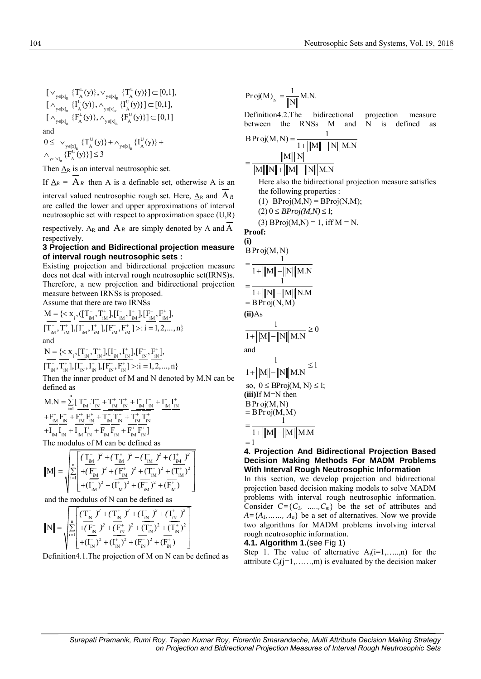$R \left( \begin{array}{c} R & Q \end{array} \right)$   $\mathbf{y} \in [x]_R$  $R \stackrel{(A \cup J)}{\sim} \text{y} \in [x]_R$  $R^{(\mathbf{H}_A \cup \mathcal{Y})$ ,  $\mathbf{y}_{\in [x]_R}$  $L(v)$   $\vee$   $\{T^U(v)$  $\big\{ \begin{array}{l} \{T_A^L(y)\}, \vee_{y \in [x]_R} \{T_A^L(y)\} \ \{I^L(y)\} \, \wedge \, \{I^U(y)\} \end{array} \big\}$  $\mathcal{H}_{\mathrm{N} \in [x]_{R}} \{ \Gamma_{\mathrm{A}}^{\mathrm{L}}(y) \}, \wedge_{y \in [x]_{R}} \{ \Gamma_{\mathrm{A}}^{\mathrm{U}}(y) \}$  $\mathcal{F}_\mathrm{N}^{\mathrm{E}}\{\mathrm{F}^\mathrm{E}_\mathrm{A}(\mathrm{y})\}, \wedge_{\mathrm{y}\in\mathrm{[x]}_\mathrm{R}}\{\mathrm{F}^\mathrm{U}_\mathrm{A}(\mathrm{y})\}$  $[\vee_{y \in [x]_p} \{T_A^L(y)\}, \vee_{y \in [x]_p} \{T_A^U(y)\}] \subset [0,1],$  $[ \vee_{y \in [x]_R} \{I_A^L(y) \}, \vee_{y \in [x]_R} \{I_A^L(y) \} ] \subset [0,1],$ <br> $[ \wedge_{y \in [x]_p} \{I_A^L(y) \}, \wedge_{y \in [x]_p} \{I_A^U(y) \} ] \subset [0,1],$  $[{\wedge}_{y \in [x]_R} {\{\mathbf{H}_{\mathbf{A}}(y)}\}, {\wedge}_{y \in [x]_R} {\{\mathbf{H}_{\mathbf{A}}^{\mathbf{L}}(y)\}, {\wedge}_{y \in [x]_R} {\{\mathbf{F}_{\mathbf{A}}^{\mathbf{U}}(y)\}\}} \subseteq [0,1]$  $\mathcal{F}_{\in [x]_R} \{T_{A}^L(y)\}, \vee_{y \in [x]_R}$  $\mathcal{H}_{\epsilon[x]_R} \{ \mathrm{I}^{\mathsf{L}}_{\mathrm{A}}(\mathrm{y}) \}, \wedge_{\mathrm{y} \in [x]_R}$  $\mathcal{F}_{\in [x]_R} \{F_A^L(y)\}, \wedge_{y \in [x]_R}$  $\vee_{x \in \mathbb{R}^1} \{T^L(x)\}, \vee_{x \in \mathbb{R}^1} \{T^U(x)\}\subset$  $\wedge_{\text{refrel}} \{I_{\lambda}^{L}(y)\}, \wedge_{\text{refrel}} \{I_{\lambda}^{U}(y)\}\subset$  $\wedge_{\mathbb{Z}_{\text{test}}} \{F_{\lambda}^{\text{L}}(y)\}, \wedge_{\mathbb{Z}_{\text{test}}} \{F_{\lambda}^{\text{U}}(y)\}\right] \subset$ and

and  
\n
$$
0 \leq \bigvee_{y \in [x]_R} \{T_A^U(y)\} + \bigwedge_{y \in [x]_R} \{I_A^U(y)\} + \bigwedge_{y \in [x]_R} \{I_A^U(y)\} + \bigwedge_{y \in [x]_R} \{F_A^U(y)\} = 3
$$

Then  $\underline{A}_R$  is an interval neutrosophic set.

If  $\underline{A}_R = A_R$  then A is a definable set, otherwise A is an

interval valued neutrosophic rough set. Here,  $A_R$  and  $A_R$ are called the lower and upper approximations of interval neutrosophic set with respect to approximation space (U,R) respectively.  $\underline{A}_R$  and  $\overline{A}_R$  are simply denoted by  $\underline{A}$  and  $\underline{A}$ respectively.

## **3 Projection and Bidirectional projection measure of interval rough neutrosophic sets :**

Existing projection and bidirectional projection measure does not deal with interval rough neutrosophic set(IRNS)s. Therefore, a new projection and bidirectional projection measure between IRNSs is proposed.

Assume that there are two IRNSs  
\n
$$
M = \{ \langle x_{i}, ([T_{iM}^{-}, T_{iM}^{+}], [I_{iM}^{-}, I_{iM}^{+}], [F_{iM}^{-}, F_{iM}^{+}],
$$
\n
$$
[T_{iM}^{-}, T_{iM}^{+}], [I_{iM}^{-}, I_{iM}^{+}], [F_{iM}^{-}, F_{iM}^{+}] \rangle : i = 1, 2, ..., n \}
$$
\nand  
\n
$$
N = \{ \langle x_{i}, [T_{iN}^{-}, T_{iN}^{+}], [I_{iN}^{-}, I_{iN}^{+}], [F_{iN}^{-}, F_{iN}^{+}],
$$

N = {
$$
\langle
$$
 x<sub>i</sub>, $\langle$  I<sub>in</sub><sup>T</sup>, I<sub>in</sub><sup>T</sup>, $\vert$ II<sub>in</sub><sup>T</sup>, I<sub>in</sub><sup>T</sup>, $\vert$ II<sub>in</sub><sup>T</sup>, I<sub>in</sub><sup>T</sup>, $\vert$ II<sub>in</sub><sup>T</sup>, I<sub>in</sub><sup>T</sup>, $\vert$ II<sub>in</sub><sup>T</sup>, I<sub>in</sub><sup>T</sup>, $\vert$ II<sub>in</sub><sup>T</sup>, I<sub>in</sub><sup>T</sup>, $\vert$ II<sub>in</sub><sup>T</sup>, I<sub>in</sub><sup>T</sup>, $\vert$ II<sub>in</sub><sup>T</sup>, I<sub>in</sub><sup>T</sup>, $\vert$ II<sub>in</sub><sup>T</sup>, I<sub>in</sub><sup>T</sup>, $\vert$ II<sub>in</sub><sup>T</sup>, I<sub>in</sub><sup>T</sup>, $\vert$ II<sub>in</sub><sup>T</sup>, I<sub>in</sub><sup>T</sup>, $\vert$ II<sub>in</sub><sup>T</sup>, I<sub>in</sub><sup>T</sup>, $\vert$ II<sub>in</sub><sup>T</sup>, I<sub>in</sub><sup>T</sup>, I<sub>in</sub><sup>T</sup>, $\vert$ II<sub>in</sub><sup>T</sup>, I<sub>in</sub><sup>T</sup>, I<sub>in</sub><sup>T</sup>, I<sub>in</sub><sup>T</sup>, $\vert$ II<sub>in</sub><sup>T</sup>, I<sub>in</sub><sup>T</sup>, I<sub>in</sub><sup>T</sup>, I<sub>in</sub><sup>T</sup>, I<sub>in</sub><sup>T</sup>, I<sub>in</sub><sup>T</sup>, I<sub>in</sub><sup>T</sup>, I<sub>in</sub><sup>T</sup>, I<sub>in</sub><sup>T</sup>, I<sub>in</sub><sup>T</sup>, I<sub>in</sub><sup>T</sup>, I<sub>in</sub><sup>T</sup>, I<sub>in</sub><sup>T</sup>, I<sub>in</sub><sup>T</sup>, I<sub>in</sub><sup>T</sup>, I<sub>in</sub><sup>T</sup>, I<sub>in</sub><sup>T</sup>, I<sub>in</sub><sup>T</sup>, I<sub>in</sub>

Then the inner product of M and N denoted by M.N can be defined as

M.N = 
$$
\sum_{i=1}^{n} \left[ \frac{T_{iM}}{N} \cdot \frac{T_{iN}}{N} + \frac{T_{iM}^+}{N} \frac{T_{iN}^+}{N} + \frac{T_{iM}^-}{N} \frac{T_{iN}^-}{N} + \frac{T_{iM}^+}{N} \frac{T_{iN}^+}{N} \right]
$$

$$
+ \frac{F_{iM}^-}{T_{iM}^-} \frac{F_{iM}^+}{T_{iM}^+} + \frac{T_{iM}^-}{T_{iM}^-} \frac{T_{iN}^-}{T_{iN}^+} + \frac{T_{iM}^+}{T_{iM}^+} \frac{T_{iN}^+}{T_{iN}^+} + \frac{T_{iM}^+}{T_{iM}^+} \frac{T_{iN}^+}{T_{iN}^+} + \frac{T_{iM}^+}{T_{iN}^+} \frac{T_{iN}^+}{T_{iN}^+} \right]
$$
  
The modulus of M can be defined as

The modulus of M can be defined as  
\n
$$
||M|| = \sqrt{\sum_{i=1}^{n} \left[ \frac{\left(T_{iM}^{-} \right)^{2} + \left(T_{iM}^{+} \right)^{2} + \left(T_{iM}^{-} \right)^{2} + \left(T_{iM}^{+} \right)^{2}}{+\left(T_{iM}^{-} \right)^{2} + \left(T_{iM}^{-} \right)^{2} + \left(T_{iM}^{-} \right)^{2} + \left(T_{iM}^{+} \right)^{2}} \right]}
$$
\n
$$
+ \left(T_{iM}^{-} \right)^{2} + \left(T_{iM}^{+} \right)^{2} + \left(F_{iM}^{-} \right)^{2} + \left(F_{iM}^{+} \right)^{2} \right]}
$$

and the modulus of N can be defined as  
\n
$$
||N|| = \sqrt{\sum_{i=1}^{n} \left[ \frac{\left(\frac{T_i}{N}\right)^2 + \left(\frac{T_i}{N}\right)^2 + \left(\frac{I_i}{N}\right)^2 + \left(\frac{I_i}{N}\right)^2}{\left(\frac{F_i}{N}\right)^2 + \left(\frac{F_i}{N}\right)^2 + \left(\frac{I_i}{N}\right)^2 + \left(\frac{I_i}{N}\right)^2 + \left(\frac{I_i}{N}\right)^2 + \left(\frac{I_i}{N}\right)^2 + \left(\frac{I_i}{N}\right)^2 + \left(\frac{I_i}{N}\right)^2 + \left(\frac{I_i}{N}\right)^2 + \left(\frac{I_i}{N}\right)^2 + \left(\frac{I_i}{N}\right)^2 + \left(\frac{I_i}{N}\right)^2 + \left(\frac{I_i}{N}\right)^2 + \left(\frac{I_i}{N}\right)^2 + \left(\frac{I_i}{N}\right)^2 + \left(\frac{I_i}{N}\right)^2 + \left(\frac{I_i}{N}\right)^2 + \left(\frac{I_i}{N}\right)^2 + \left(\frac{I_i}{N}\right)^2 + \left(\frac{I_i}{N}\right)^2 + \left(\frac{I_i}{N}\right)^2 + \left(\frac{I_i}{N}\right)^2 + \left(\frac{I_i}{N}\right)^2 + \left(\frac{I_i}{N}\right)^2 + \left(\frac{I_i}{N}\right)^2 + \left(\frac{I_i}{N}\right)^2 + \left(\frac{I_i}{N}\right)^2 + \left(\frac{I_i}{N}\right)^2 + \left(\frac{I_i}{N}\right)^2 + \left(\frac{I_i}{N}\right)^2 + \left(\frac{I_i}{N}\right)^2 + \left(\frac{I_i}{N}\right)^2 + \left(\frac{I_i}{N}\right)^2 + \left(\frac{I_i}{N}\right)^2 + \left(\frac{I_i}{N}\right)^2 + \left(\frac{I_i}{N}\right)^2 + \left(\frac{I_i}{N}\right)^2 + \left(\frac{I_i}{N}\right)^2 + \left(\frac{I_i}{N}\right)^2 + \left(\frac{I_i}{N}\right)^2 + \left(\frac{I_i}{N}\right)^2 + \left(\frac{I_i}{N}\right)^2 + \left(\frac{I_i}{N}\right)^2 + \left(\frac{I_i}{N}\right)^2 + \left(\frac{I_i}{N}\right)^2 + \left(\frac{I_i}{N}\right)^2 + \left(\frac{I_i}{N}\right)^2 + \left(\frac{I_i}{N}\right)^2 +
$$

Definition4.1.The projection of M on N can be defined as

Proj(M)<sub>N</sub> = 
$$
\frac{1}{\|N\|}
$$
 M.N.

\nDefinition 4.2. The bidirectional projection measure between the RNSs M and N is defined as  $BProj(M, N) = \frac{1}{1 + \|M\| - \|N\| M.N}$ 

\n=  $\frac{\|M\| \|N\|}{\|M\| \cdot \|M\| - \|N\| M.N}$ 

\nHere also the bidirectional projection measure satisfies the following properties:

\n\n- (1) BProj(M,N) = BProj(N,M);
\n- (2) 0 ≤ BProj(M,N) ≤ 1;
\n- (3) BProj(M,N) = 1, iff M = N.
\n
\nProof:

(i)  
\n
$$
BProj(M, N)
$$
\n
$$
= \frac{1}{1 + ||M|| - ||N|| ||M.N}
$$
\n
$$
= \frac{1}{1 + ||N|| - ||M|| ||N.M}
$$
\n
$$
= BProj(N, M)
$$
\n(ii)As  
\n
$$
\frac{1}{1 + ||M|| - ||N|| ||M.N} \ge 0
$$
\nand  
\n
$$
\frac{1}{1 + ||M|| - ||N|| ||M.N} \le 1
$$
\nso,  $0 \le BProj(M, N) \le 1$ ;  
\n(iii) If M = N then  
\n
$$
BProj(M, N)
$$
\n
$$
= BProj(M, M)
$$

$$
= \frac{1}{1 + |||M|| - ||M|| \, M.M}
$$
  
= 1

## **4. Projection And Bidirectional Projection Based Decision Making Methods For MADM Problems With Interval Rough Neutrosophic Information**

In this section, we develop projection and bidirectional projection based decision making models to solve MADM problems with interval rough neutrosophic information. Consider  $C = \{C_1, \ldots, C_m\}$  be the set of attributes and  $A = \{A_1, \ldots, A_n\}$  be a set of alternatives. Now we provide two algorithms for MADM problems involving interval rough neutrosophic information.

## **4.1. Algorithm 1.**(see Fig 1)

Step 1. The value of alternative  $A_i(i=1,...,n)$  for the attribute  $C_i$ (j=1,.....,m) is evaluated by the decision maker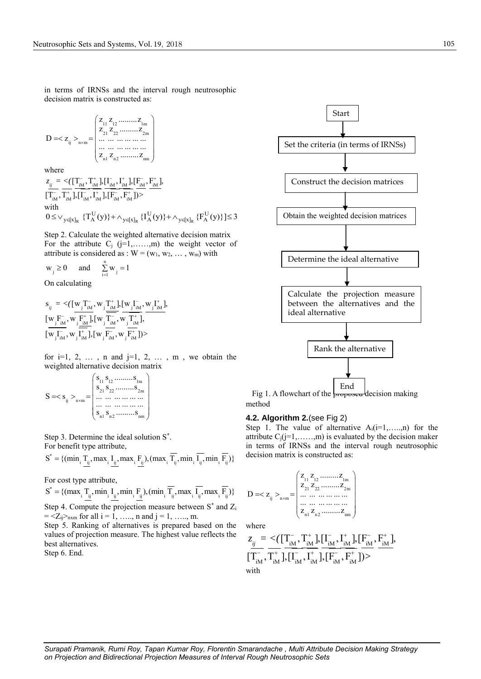in terms of IRNSs and the interval rough neutrosophic decision matrix is constructed as:

$$
D = _{n \times m} = \begin{pmatrix} z_{11} & z_{12} & \dots & z_{1m} \\ z_{21} & z_{22} & \dots & \dots & z_{2m} \\ \dots & \dots & \dots & \dots & \dots \\ \dots & \dots & \dots & \dots & \dots \\ z_{n1} & z_{n2} & \dots & \dots & z_{nm} \end{pmatrix}
$$

where  
\n
$$
z_{ij} = \langle \left[ T_{iM}^-, T_{iM}^+ \right], \left[ I_{iM}^-, I_{iM}^+ \right], \left[ F_{iM}^-, F_{iM}^+ \right],
$$
\n
$$
\left[ T_{iM}^-, T_{iM}^+ \right], \left[ I_{iM}^-, I_{iM}^+ \right], \left[ F_{iM}^-, F_{iM}^+ \right] \rangle >
$$
\nwith  
\n
$$
0 \le \vee_{y \in [x]_R} \{ T_A^U(y) \} + \wedge_{y \in [x]_R} \{ I_A^U(y) \} + \wedge_{y \in [x]_R} \{ F_A^U(y) \} \le 3
$$

Step 2. Calculate the weighted alternative decision matrix For the attribute  $C_i$  (j=1,......,m) the weight vector of attribute is considered as :  $W = (w_1, w_2, \dots, w_m)$  with

$$
w_{j} \ge 0 \quad \text{and} \quad \sum_{i=1}^{n} w_{j} = 1
$$

On calculating

$$
\begin{array}{ll} s_{_{ij}} &= \displaystyle \langle [\![ {\bf w}_{j}^{} T_{_{\rm iM}}^{^-}, {\bf w}_{j}^{} T_{_{\rm iM}}^{+}]\!] , [\![ {\bf w}_{j}^{} I_{_{\rm iM}}^{^-}, {\bf w}_{j}^{} I_{_{\rm iM}}^{+}]\!] , \\[0.5em] \displaystyle [\![ {\bf w}_{j}^{} F_{_{\rm iM}}^{^-}, {\bf w}_{j}^{} \frac{F_{_{\rm iM}}^{+}}{F_{_{\rm iM}}^{+}}]\!] , [\![ {\bf w}_{j}^{} T_{_{\rm iM}}^{^-}, {\bf w}_{j}^{} \frac{F_{_{\rm iM}}^{+}}{F_{_{\rm iM}}^{+}}]\!] , \\[0.5em] \displaystyle [\![ {\bf w}_{j}^{} I_{_{\rm iM}}^{^-}, {\bf w}_{j}^{} \frac{F_{_{\rm iM}}^{+}}{F_{_{\rm iM}}^{+}}]\!] , [\![ {\bf w}_{j}^{} F_{_{\rm iM}}^{^-}, {\bf w}_{j}^{} \frac{F_{_{\rm iM}}^{+}}{F_{_{\rm iM}}^{+}}]\!] \rangle > \end{array}
$$

for  $i=1, 2, \ldots$ , n and  $j=1, 2, \ldots$ , m, we obtain the weighted alternative decision matrix<br> $s_1, s_2, \dots, s_{\text{lm}}$ 

$$
S = _{n \times m} = \begin{pmatrix} s_{11} s_{12} \dots s_{1m} \\ s_{21} s_{22} \dots s_{2m} \\ \dots \dots \dots \dots \dots \\ \dots \dots \dots \dots \\ s_{n1} s_{n2} \dots s_{nn} \end{pmatrix}
$$

Step 3. Determine the ideal solution S\* .

For benefit type attribute,  
\n
$$
S^* = \{ (\min_i \underline{T_{ij}}, \max_i \underline{I_{ij}}, \max_i \underline{F_{ij}}), (\max_i \overline{T_{ij}}, \min_i \overline{I_{ij}}, \min_i \overline{F_{ij}}) \}
$$

For cost type attribute,

For cost type attribute,<br>  $S^* = \{(\max_i \frac{T_{ij}}{n}, \min_i \frac{F_{ij}}{n}, \min_i \frac{F_{ij}}{n}), (\min_i \frac{T}{T_{ij}}, \max_i \frac{T}{T_{ij}}, \max_i \frac{F_{ij}}{n})\}$  D: Step 4. Compute the projection measure between S\* and Z<sup>i</sup>

 $= \langle Z_{ij} \rangle_{n \times m}$  for all  $i = 1, \ldots, n$  and  $j = 1, \ldots, m$ .

Step 5. Ranking of alternatives is prepared based on the values of projection measure. The highest value reflects the best alternatives.

Step 6. End.



Fig 1. A flowchart of the proposed decision making method

#### **4.2. Algorithm 2.**(see Fig 2)

Step 1. The value of alternative  $A_i(i=1,...,n)$  for the attribute  $C_i(j=1, \ldots, m)$  is evaluated by the decision maker in terms of IRNSs and the interval rough neutrosophic decision matrix is constructed as:

$$
D = _{n \times m} = \begin{pmatrix} z_{11} & z_{12} & \dots & z_{1m} \\ z_{21} & z_{22} & \dots & \dots & z_{2m} \\ \dots & \dots & \dots & \dots & \dots \\ z_{n1} & z_{n2} & \dots & \dots & z_{nm} \end{pmatrix}
$$

where

where  
\n
$$
z_{ij} = \langle \left( \frac{\Gamma_{iM}^{-}}{\Gamma_{iM}^{-}}, \frac{\Gamma_{iM}^{+}}{\Gamma_{iM}^{-}} \right) \cdot \left[ \frac{\Gamma_{iM}^{-}}{\Gamma_{iM}^{-}}, \frac{\Gamma_{iM}^{+}}{\Gamma_{iM}^{-}} \right] \cdot \left[ \frac{\Gamma_{iM}^{-}}{\Gamma_{iM}^{-}}, \frac{\Gamma_{iM}^{+}}{\Gamma_{iM}^{-}} \right] \rangle
$$
\nwith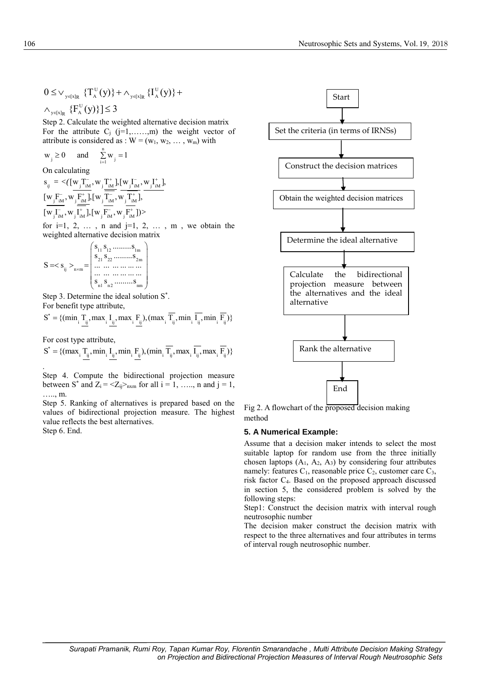$$
\begin{aligned} 0 \leq & \vee_{\mathbf{y} \in [x]_R} \{T_A^{\mathrm{U}}(y)\} + \wedge_{\mathbf{y} \in [x]_R} \{I_A^{\mathrm{U}}(y)\} + \\ & \wedge_{\mathbf{y} \in [x]_R} \{F_A^{\mathrm{U}}(y)\}\leq 3 \end{aligned}
$$

Step 2. Calculate the weighted alternative decision matrix For the attribute  $C_j$  (j=1,......,m) the weight vector of attribute is considered as :  $W = (w_1, w_2, \dots, w_m)$  with

$$
w_j \ge 0
$$
 and  $\sum_{i=1}^{n} w_j = 1$   
On calculating

$$
s_{ij} = \langle [\underline{w}_{j}^T \underline{T}_{iM}^-, \underline{w}_{j}^T \underline{T}_{iM}^+] , [\underline{w}_{j}^T \underline{T}_{iM}^-, \underline{w}_{j}^T \underline{T}_{iM}^+] , \n[\underline{w}_{j}^T \underline{F}_{iM}^-, \underline{w}_{j}^T \underline{F}_{iM}^+] , [\underline{w}_{j}^T \underline{T}_{iM}^-, \underline{w}_{j}^T \underline{T}_{iM}^+] , \n[\underline{w}_{j}^T \underline{T}_{iM}^-, \underline{w}_{j}^T \underline{T}_{iM}^+] , [\underline{w}_{j}^T \underline{F}_{iM}^-, \underline{w}_{j}^T \underline{F}_{iM}^+ ] \rangle >
$$

for  $i=1, 2, \ldots$ , n and  $i=1, 2, \ldots$ , m, we obtain the weighted alternative decision matrix

$$
S = \langle s_{ij} \rangle_{n \times m} = \begin{pmatrix} s_{11} s_{12} \dots s_{1m} \\ s_{21} s_{22} \dots s_{2m} \\ \dots \dots \dots \dots \dots \\ s_{n1} s_{n2} \dots s_{nn} \end{pmatrix}
$$

Step 3. Determine the ideal solution S\* .

For benefit type attribute,  
\n
$$
S^* = \{ (\min_i \underline{T_{ij}}, \max_i \underline{I_{ij}}, \max_i \underline{F_{ij}}), (\max_i \overline{T_{ij}}, \min_i \overline{I_{ij}}, \min_i \overline{F_{ij}}) \}
$$

For cost type attribute,

For cost type attribute,  
\n
$$
S^* = \{(\max_i \frac{T_{ij}}, \min_i \frac{I_{ij}}{I_{ij}}, \min_i \frac{F_{ij}}{I_{ij}}), (\min_i \frac{T}{I_{ij}}, \max_i \frac{I_{ij}}{I_{ij}}, \max_i \frac{F_{ij}}{I_{ij}})\}
$$

Step 4. Compute the bidirectional projection measure between S<sup>\*</sup> and  $Z_i = \langle Z_{ij} \rangle_{n \times m}$  for all  $i = 1, \ldots, n$  and  $j = 1,$ ……, m.

Step 5. Ranking of alternatives is prepared based on the values of bidirectional projection measure. The highest value reflects the best alternatives. Step 6. End.



Fig 2. A flowchart of the proposed decision making method

#### **5. A Numerical Example:**

Assume that a decision maker intends to select the most suitable laptop for random use from the three initially chosen laptops  $(A_1, A_2, A_3)$  by considering four attributes namely: features  $C_1$ , reasonable price  $C_2$ , customer care  $C_3$ , risk factor C4. Based on the proposed approach discussed in section 5, the considered problem is solved by the following steps:

Step1: Construct the decision matrix with interval rough neutrosophic number

The decision maker construct the decision matrix with respect to the three alternatives and four attributes in terms of interval rough neutrosophic number.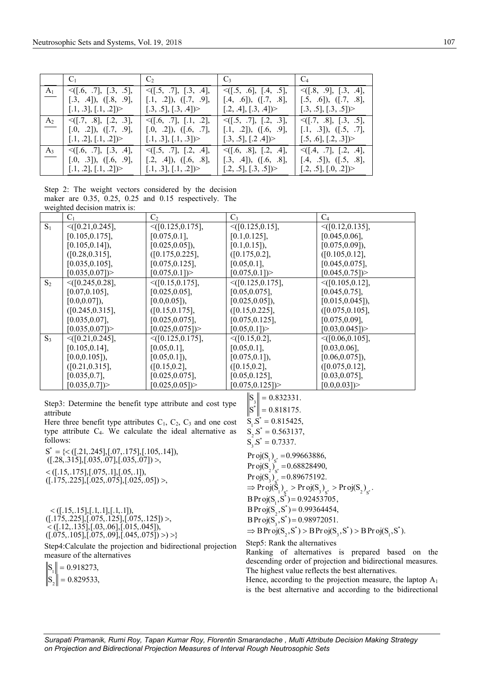|                | $C_1$ and $C_2$                                                                      | $C_2$                                                                              | $C_3$ and $C_4$                                                                                    | $\mathsf{C}_4$                                                                      |
|----------------|--------------------------------------------------------------------------------------|------------------------------------------------------------------------------------|----------------------------------------------------------------------------------------------------|-------------------------------------------------------------------------------------|
| $A_1$          | $\leq$ ([.6, .7], [.3, .5],<br>$[.3, .4]$ , $([.8, .9],$<br>[.1, .3], [.1, .2])      | $\leq$ ([.5, .7], [.3, .4],<br>$[.1, .2]$ , $(1, .9]$ ,<br>[.3, .5], [.3, .4]      | $\leq$ ([.5, .6], [.4, .5],<br>$[.4, .6]$ , $(1.7, .8]$ ,                                          | $\leq$ ([.8, .9], [.3, .4],<br>$[.5, .6]$ , $( [.7, .8]$ ,<br>[.3, .5], [.3, .5]    |
| A <sub>2</sub> | $\leq$ ([.7, .8], [.2, .3],<br>$[.0, .2]$ , $( [.7, .9],$<br>$[.1, .2], [.1, .2])$ > | $\leq$ ([.6, .7], [.1, .2],<br>$[.0, .2]$ , $([.6, .7],$<br>[.1, .3], [.1, .3]     | [.2, .4], [.3, .4]<br>$\leq$ ([.5, .7], [.2, .3],<br>$[.1, .2]$ , $([.6, .9],$<br>[.3, .5], [.2.4] | $\leq$ ([.7, .8], [.3, .5],<br>$[.1, .3]$ , $([.5, .7],$<br>$[.5, .6], [.2, .3])$ > |
| $A_3$          | $\leq$ [.6, .7], [.3, .4],<br>$[.0, .3]$ , $( [.6, .9],$<br>[.1, .2], [.1, .2])      | $\leq$ [.5, .7], [.2, .4],<br>$[.2, .4]$ , $([.6, .8],$<br>$[.1, .3], [.1, .2])$ > | $\leq$ [.6, .8], [.2, .4],<br>$[.3, .4]$ , $([.6, .8],$<br>[.2, .5], [.3, .5]                      | $\leq$ ([.4, .7], [.2, .4],<br>$[.4, .5]$ , $([.5, .8],$<br>$[.2, .5], [.0, .2])$ > |

Step 2: The weight vectors considered by the decision maker are 0.35, 0.25, 0.25 and 0.15 respectively. The weighted decision matrix is:

|       | $C_1$                 | C <sub>2</sub>         | $C_3$                 | $C_4$                 |
|-------|-----------------------|------------------------|-----------------------|-----------------------|
| $S_1$ | $\leq$ ([0.21,0.245], | $\leq$ [0.125,0.175],  | $\leq$ [0.125,0.15],  | $\leq$ ([0.12,0.135], |
|       | [0.105, 0.175],       | $[0.075, 0.1]$ ,       | $[0.1, 0.125]$ ,      | [0.045, 0.06],        |
|       | $[0.105, 0.14]$ ,     | $[0.025, 0.05]$ ,      | $[0.1, 0.15]$ ,       | $[0.075, 0.09]$ ,     |
|       | ([0.28, 0.315],       | ([0.175, 0.225],       | ([0.175, 0.2],        | ([0.105, 0.12],       |
|       | $[0.035, 0.105]$ ,    | [0.075, 0.125],        | $[0.05, 0.1]$ ,       | $[0.045, 0.075]$ ,    |
|       | [0.035, 0.07]         | [0.075, 0.1]           | [0.075, 0.1]          | [0.045, 0.75]         |
| $S_2$ | $\leq$ [0.245,0.28],  | $\leq$ [0.15,0.175],   | $\leq$ [0.125,0.175], | $\leq$ [0.105,0.12],  |
|       | $[0.07, 0.105]$ ,     | $[0.025, 0.05]$ ,      | [0.05, 0.075],        | $[0.045, 0.75]$ ,     |
|       | $[0.0, 0.07]$ ,       | $[0.0, 0.05]$ ,        | $[0.025, 0.05]$ ,     | $[0.015, 0.045]$ ,    |
|       | ([0.245, 0.315],      | ([0.15, 0.175],        | ([0.15, 0.225],       | ([0.075, 0.105],      |
|       | $[0.035, 0.07]$ ,     | $[0.025, 0.075]$ ,     | [0.075, 0.125],       | [0.075, 0.09],        |
|       | [0.035, 0.07]         | [0.025, 0.075]         | [0.05, 0.1]           | [0.03, 0.045]         |
| $S_3$ | $\leq$ ([0.21,0.245], | $\leq$ ([0.125,0.175], | $\leq$ ([0.15,0.2],   | $\leq (0.06, 0.105),$ |
|       | [0.105, 0.14],        | $[0.05, 0.1]$ ,        | $[0.05, 0.1]$ ,       | [0.03, 0.06],         |
|       | $[0.0, 0.105]$ ,      | $[0.05, 0.1]$ ,        | $[0.075, 0.1]$ ,      | $[0.06, 0.075]$ ,     |
|       | ([0.21, 0.315],       | ([0.15, 0.2],          | ([0.15, 0.2],         | ([0.075, 0.12],       |
|       | [0.035, 0.7],         | $[0.025, 0.075]$ ,     | [0.05, 0.125],        | $[0.03, 0.075]$ ,     |
|       | [0.035, 0.7]          | [0.025, 0.05]          | [0.075, 0.125]        | [0.0, 0.03]           |

Step3: Determine the benefit type attribute and cost type attribute

Here three benefit type attributes  $C_1$ ,  $C_2$ ,  $C_3$  and one cost type attribute C4. We calculate the ideal alternative as follows:

\* follows:<br>S<sup>\*</sup> = {< ([.21,.245], [.07,.175], [.105,.14]),  $S^* = \{<( [.21, .245],[.07, .175],[.105, .14]),$ <br> $([.28, .315],[.035, .07],[.035, .07])>,$ ows:<br>=  $\{<$  ([.2]  $([.28, .315], [.035, .07], [.035, .07]) >$ ,  $<$  ([.15,.175],[.075,.1],[.05,.1]), < ([.15,.175],[.075,.1],[.05,.1]),<br>([.175,.225],[.025,.075],[.025,.05]) >,

 $\langle$  ([.15,.15],[.1,.1],[.1,.1]),<br>([.175,.225],[.075,.125],[.075,.125]) >,<br>([.12,.125],[.075,.125],[.015,.045])  $\stackrel{<}{\prec} ([.12, .13\overline{5}], [.03, .06], [.015, .045])$ ,<br>([.075,.105],[.075,.09],[.045,.075]) >) >}  $\geq$ 

Step4:Calculate the projection and bidirectional projection measure of the alternatives

 $S_{1}$ || = 0.918273,  $S_2$ || = 0.829533,

 $\left\| \mathbf{s}^* \right\| = 0.818175.$ \*  $S_i S_j^* = 0.815425,$ \*  $S_2 S^* = 0.563137,$ \*  $S_3 S^* = 0.7337.$  $S_{2}$  = 0.832331.  $S_3$ .S = 0.7337.<br>Pr oj(S<sub>1</sub>)<sub>s</sub> = 0.99663886, Pr oj(S<sub>1</sub>)<sub>s</sub><sup>\*</sup> = 0.99663886,<br>Pr oj(S<sub>2</sub>)<sub>s</sub><sup>\*</sup> = 0.68828490,  $\frac{1}{\epsilon}$  $*$   $\frac{1}{3}$   $\frac{1}{3}$   $\frac{1}{3}$   $\frac{1}{3}$   $\frac{1}{2}$   $\frac{1}{3}$  $3'_{\rm S}$  $\mathrm{obj(S}_{3})_{s^*}^{\phantom{S}} = 0.89675192.$ <br>Pr  $\mathrm{obj(S}_{1})_{s^*} > \mathrm{Proj(S}_{3})_{s^*} > \mathrm{Proj(S}_{2})_{s^*}.$ \*  $, S^* =$ \*  $BProj(S_1, S^*) = 0.92453705,$ <br>  $BProj(S_2, S^*) = 0.99364454,$ \*  $(3, 5) = 0.98972031.$ <br>bi(S, S<sup>\*</sup>) > B Proi(S, S<sup>\*</sup>) >  $BProj(S_3, S^*) = 0.98972051.$ <br>  $\Rightarrow BProj(S_2, S^*) > BProj(S_3, S^*) > BProj(S_1, S^*)$ Pr oj $(S_2)_{S^*} = 0.68828490,$ <br>Pr oj $(S_3)_{S^*} = 0.89675192.$ ⇒ Pr oj(S<sub>1</sub>)<sub>s</sub>\* > Pr oj(S<sub>3</sub>)<sub>s</sub>\* ><br>B Pr oj(S<sub>1</sub>, S<sup>\*</sup>) = 0.92453705,  $BPr$  oj(S<sub>2</sub>,S<sup>\*</sup>) = 0.99364454,<br>BPr oj(S<sub>3</sub>,S<sup>\*</sup>) = 0.98972051. Pr oj(S<sub>3</sub>)<sup>°</sup> = 0.89675192.<br>
⇒ Pr oj(S<sub>1</sub>)<sub>s</sub><sup>\*</sup> > Pr oj(S<sub>3</sub>)<sub>s</sub><sup>\*</sup> > Pr oj( Pr oj $(S_1, S^*)$ .

Step5: Rank the alternatives

Ranking of alternatives is prepared based on the descending order of projection and bidirectional measures. The highest value reflects the best alternatives.

Hence, according to the projection measure, the laptop  $A_1$ is the best alternative and according to the bidirectional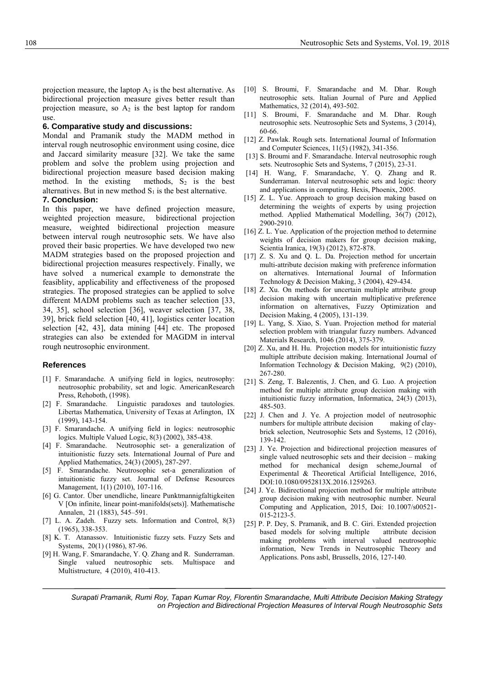projection measure, the laptop  $A_2$  is the best alternative. As bidirectional projection measure gives better result than projection measure, so  $A_2$  is the best laptop for random use.

#### **6. Comparative study and discussions:**

Mondal and Pramanik study the MADM method in interval rough neutrosophic environment using cosine, dice and Jaccard similarity measure [32]. We take the same problem and solve the problem using projection and bidirectional projection measure based decision making method. In the existing methods,  $S_2$  is the best alternatives. But in new method  $S_1$  is the best alternative. **7. Conclusion:**

In this paper, we have defined projection measure, weighted projection measure, bidirectional projection measure, weighted bidirectional projection measure between interval rough neutrosophic sets. We have also proved their basic properties. We have developed two new MADM strategies based on the proposed projection and bidirectional projection measures respectively. Finally, we have solved a numerical example to demonstrate the feasiblity, applicability and effectiveness of the proposed strategies. The proposed strategies can be applied to solve different MADM problems such as teacher selection [33, 34, 35], school selection [36], weaver selection [37, 38, 39], brick field selection [40, 41], logistics center location selection [42, 43], data mining [44] etc. The proposed strategies can also be extended for MAGDM in interval rough neutrosophic environment.

#### **References**

- [1] F. Smarandache. A unifying field in logics, neutrosophy: neutrosophic probability, set and logic. AmericanResearch Press, Rehoboth, (1998).
- [2] F. Smarandache. Linguistic paradoxes and tautologies. Libertas Mathematica, University of Texas at Arlington, IX (1999), 143-154.
- [3] F. Smarandache. A unifying field in logics: neutrosophic logics. Multiple Valued Logic, 8(3) (2002), 385-438.
- [4] F. Smarandache. Neutrosophic set- a generalization of intuitionistic fuzzy sets. International Journal of Pure and Applied Mathematics, 24(3) (2005), 287-297.
- [5] F. Smarandache. Neutrosophic set-a generalization of intuitionistic fuzzy set. Journal of Defense Resources Management, 1(1) (2010), 107-116.
- [6] G. Cantor. Über unendliche, lineare Punktmannigfaltigkeiten V [On infinite, linear point-manifolds(sets)]. Mathematische Annalen, 21 (1883), 545–591.
- [7] L. A. Zadeh. Fuzzy sets. Information and Control, 8(3) (1965), 338-353.
- [8] K. T. Atanassov. Intuitionistic fuzzy sets. Fuzzy Sets and Systems, 20(1) (1986), 87-96.
- [9] H. Wang, F. Smarandache, Y. Q. Zhang and R. Sunderraman. Single valued neutrosophic sets. Multispace and Multistructure, 4 (2010), 410-413.
- [10] S. Broumi, F. Smarandache and M. Dhar. Rough neutrosophic sets. Italian Journal of Pure and Applied Mathematics, 32 (2014), 493-502.
- [11] S. Broumi, F. Smarandache and M. Dhar. Rough neutrosophic sets. Neutrosophic Sets and Systems, 3 (2014), 60-66.
- [12] Z. Pawlak. Rough sets. International Journal of Information and Computer Sciences, 11(5) (1982), 341-356.
- [13] S. Broumi and F. Smarandache. Interval neutrosophic rough sets. Neutrosophic Sets and Systems, 7 (2015), 23-31.
- [14] H. Wang, F. Smarandache, Y. Q. Zhang and R. Sunderraman. Interval neutrosophic sets and logic: theory and applications in computing. Hexis, Phoenix, 2005.
- [15] Z. L. Yue. Approach to group decision making based on determining the weights of experts by using projection method. Applied Mathematical Modelling, 36(7) (2012), 2900-2910.
- [16] Z. L. Yue. Application of the projection method to determine weights of decision makers for group decision making, Scientia Iranica, 19(3) (2012), 872-878.
- [17] Z. S. Xu and Q. L. Da. Projection method for uncertain multi-attribute decision making with preference information on alternatives. International Journal of Information Technology & Decision Making, 3 (2004), 429-434.
- [18] Z. Xu. On methods for uncertain multiple attribute group decision making with uncertain multiplicative preference information on alternatives, Fuzzy Optimization and Decision Making, 4 (2005), 131-139.
- [19] L. Yang, S. Xiao, S. Yuan. Projection method for material selection problem with triangular fuzzy numbers. Advanced Materials Research, 1046 (2014), 375-379.
- [20] Z. Xu, and H. Hu. Projection models for intuitionistic fuzzy multiple attribute decision making. International Journal of Information Technology & Decision Making, 9(2) (2010), 267-280.
- [21] S. Zeng, T. Balezentis, J. Chen, and G. Luo. A projection method for multiple attribute group decision making with intuitionistic fuzzy information, Informatica, 24(3) (2013), 485-503.
- [22] J. Chen and J. Ye. A projection model of neutrosophic numbers for multiple attribute decision making of claybrick selection, Neutrosophic Sets and Systems, 12 (2016), 139-142.
- [23] J. Ye. Projection and bidirectional projection measures of single valued neutrosophic sets and their decision – making method for mechanical design scheme,Journal of Experimental & Theoretical Artificial Intelligence, 2016, DOI:10.1080/0952813X.2016.1259263.
- [24] J. Ye. Bidirectional projection method for multiple attribute group decision making with neutrosophic number. Neural Computing and Application, 2015, Doi: 10.1007/s00521- 015-2123-5.
- [25] P. P. Dey, S. Pramanik, and B. C. Giri. Extended projection based models for solving multiple attribute decision making problems with interval valued neutrosophic information, New Trends in Neutrosophic Theory and Applications. Pons asbl, Brussells, 2016, 127-140.